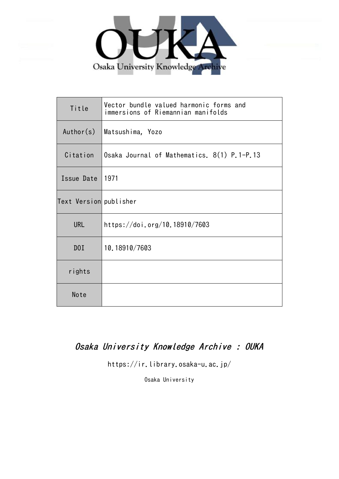

| Title                  | Vector bundle valued harmonic forms and<br>immersions of Riemannian manifolds |
|------------------------|-------------------------------------------------------------------------------|
| Author(s)              | Matsushima, Yozo                                                              |
| Citation               | Osaka Journal of Mathematics. 8(1) P.1-P.13                                   |
| Issue Date             | 1971                                                                          |
| Text Version publisher |                                                                               |
| <b>URL</b>             | https://doi.org/10.18910/7603                                                 |
| D0I                    | 10.18910/7603                                                                 |
| rights                 |                                                                               |
| Note                   |                                                                               |

## Osaka University Knowledge Archive : OUKA

https://ir.library.osaka-u.ac.jp/

Osaka University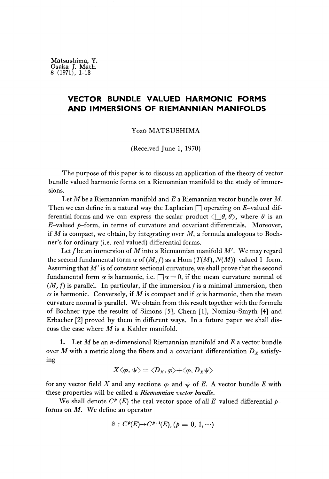Matsushima, Y. Osaka J. Math. 8 (1971), 1-13

## **VECTOR BUNDLE VALUED HARMONIC FORMS AND IMMERSIONS OF RIEMANNIAN MANIFOLDS**

## Yozo MATSUSHIMA

(Received June 1, 1970)

The purpose of this paper is to discuss an application of the theory of vector bundle valued harmonic forms on a Riemannian manifold to the study of immer sions.

Let *M* be a Riemannian manifold and *E* a Riemannian vector bundle over *M.* Then we can define in a natural way the Laplacian  $\Box$  operating on E-valued differential forms and we can express the scalar product  $\langle \Box \theta, \theta \rangle$ , where  $\theta$  is an  $E$ -valued  $p$ -form, in terms of curvature and covariant differentials. Moreover, if *M* is compact, we obtain, by integrating over M, a formula analogous to Boch ner's for ordinary (i.e. real valued) differential forms.

Let f be an immersion of M into a Riemannian manifold M'. We may regard the second fundamental form  $\alpha$  of  $(M, f)$  as a Hom  $(T(M), N(M))$ -valued 1-form. Assuming that *M'* is of constant sectional curvature, we shall prove that the second fundamental form  $\alpha$  is harmonic, i.e.  $\Box \alpha = 0$ , if the mean curvature normal of  $(M, f)$  is parallel. In particular, if the immersion f is a minimal immersion, then  $\alpha$  is harmonic. Conversely, if M is compact and if  $\alpha$  is harmonic, then the mean curvature normal is parallel. We obtain from this result together with the formula of Bochner type the results of Simons [5], Chern [1], Nomizu-Smyth [4] and Erbacher [2] proved by them in different ways. In a future paper we shall dis cuss the case where *M* is a Kahler manifold.

**1.** Let *M* be an *n*-dimensional Riemannian manifold and *E* a vector bundle over  $M$  with a metric along the fibers and a covariant differentiation  $D_{\scriptstyle X}$  satisfy ing

$$
X\langle \varphi,\psi\rangle=\langle D_X,\varphi\rangle+\langle \varphi,D_X\psi\rangle
$$

for any vector field X and any sections  $\varphi$  and  $\psi$  of E. A vector bundle E with these properties will be called a *Riemannian vector bundle.*

We shall denote  $C^p$  (E) the real vector space of all E-valued differential  $p$ forms on *M*. We define an operator

$$
\partial\,:\,C^{\textit{p}}(E){\rightarrow}C^{\textit{p}+1}(E), (\textit{p}=0,\,1,{\cdots})
$$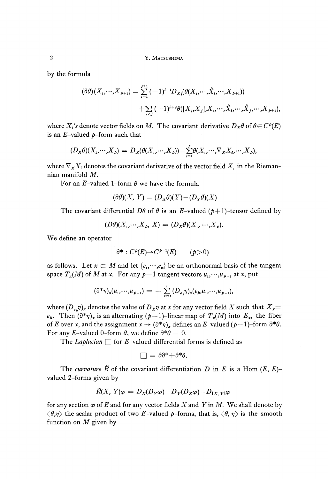by the formula

$$
(\partial \theta)(X_1, \cdots, X_{p+1}) = \sum_{i=1}^{p+1} (-1)^{i+1} D_{X_i}(\theta(X_1, \cdots, \hat{X}_i, \cdots, X_{p+1}))
$$

$$
+ \sum_{i < j} (-1)^{i+j} \theta([X_i, X_j], X_1, \cdots, \hat{X}_i, \cdots, \hat{X}_j, \cdots, X_{p+1}),
$$

where  $X_i$ 's denote vector fields on M. The covariant derivative  $D_x\theta$  of  $\theta\!\in\! C^p(E)$ is an  $E$ -valued  $p$ -form such that

$$
(D_X\theta)(X_1,\cdots,X_p) = D_X(\theta(X_1,\cdots,X_p)) - \sum_{i=1}^p \theta(X_1,\cdots,\nabla_X X_i,\cdots,X_p),
$$

where  $\nabla_{\boldsymbol{X}}X_i$  denotes the covariant derivative of the vector field  $X_i$  in the Riemannian manifold *M.*

For an  $E$ -valued 1-form  $\theta$  we have the formula

$$
(\partial \theta)(X, Y) = (D_X \theta)(Y) - (D_Y \theta)(X)
$$

The covariant differential  $D\theta$  of  $\theta$  is an E-valued ( $p+1$ )-tensor defined by

$$
(D\theta)(X_1,\cdots,X_p,\,X)=(D_X\theta)(X_1,\,\cdots,X_p).
$$

We define an operator

$$
\partial^*: C^p(E) \to C^{p-1}(E) \qquad (p>0)
$$

as follows. Let  $x \in M$  and let  $\{e_1, \dots, e_n\}$  be an orthonormal basis of the tangent space  $T_x(M)$  of M at *x*. For any  $p-1$  tangent vectors  $u_1, \dots, u_{p-1}$  at *x*, put

$$
(\partial^*\eta)_x(u_1,\dots,u_{p-1})=-\sum_{k=1}^n(D_{e_k}\eta)_x(e_k,u_1,\dots,u_{p-1}).
$$

where  $(D_{e_k}\eta)_x$  denotes the value of  $D_x\eta$  at  $x$  for any vector field  $X$  such that  $X_x$ *e*<sub>k</sub>. Then  $(\partial^*\eta)_x$  is an alternating  $(p-1)$ -linear map of  $T_x(M)$  into  $E_x$ , the fiber of *E* over *x*, and the assignment  $x \to (\partial^* \eta)_x$  defines an *E*-valued (*p*-1)-form  $\partial^* \theta$ . For any *E*-valued 0-form  $\theta$ , we define  $\partial^* \theta = 0$ .

The *Laplacian*  $\Box$  for *E*-valued differential forms is defined as

$$
\Box = \partial \partial^* + \partial^* \partial.
$$

The *curvature*  $\tilde{R}$  of the covariant differentiation  $D$  in  $E$  is a Hom  $(E, E)$ valued 2-forms given by

$$
\tilde{R}(X, Y)\varphi = D_X(D_Y\varphi) - D_Y(D_X\varphi) - D_{[X, Y]}\varphi
$$

for any section  $\varphi$  of E and for any vector fields X and Y in M. We shall denote by  $\langle \theta, \eta \rangle$  the scalar product of two *E*-valued *p*-forms, that is,  $\langle \theta, \eta \rangle$  is the smooth function on *M* given by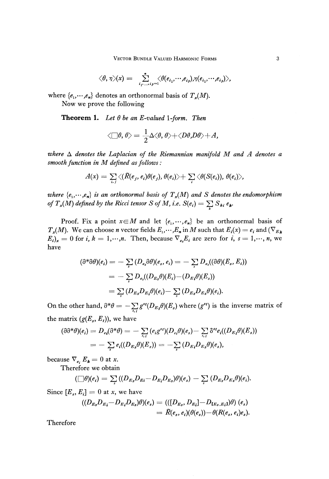$$
\langle \theta, \eta \rangle(x) = \sum_{i_1, \ldots, i_p=1}^n \langle \theta(e_{i_1}, \cdots, e_{i_p}), \eta(e_{i_1}, \cdots, e_{i_p}) \rangle,
$$

where  $\{e_1, \dots, e_n\}$  denotes an orthonormal basis of  $T_x(M)$ .

Now we prove the following

**Theorem 1.** *Let θ be an E-valued I-form. Then*

$$
\langle \Box \theta, \theta \rangle = \frac{1}{2} \Delta \langle \theta, \theta \rangle + \langle D \theta, D \theta \rangle + A,
$$

*where* Δ *denotes the Laplacian of the Rίemannίan manifold M and A denotes a smooth function in M defined as follows:*

$$
A(x) = \sum_{i,j} \langle (\tilde R(e_j,e_i)\theta(e_j),\theta(e_i)\rangle + \sum_i \langle \theta(S(e_i)),\theta(e_i)\rangle,
$$

where  $\{e_1, \cdots, e_n\}$  is an orthonormal basis of  $T_\textbf{x}(M)$  and  $S$  denotes the endomorphism *of*  $T_x(M)$  defined by the Ricci tensor S of M, i.e.  $S(e_i) = \sum S_{ki} e_k$ .

Proof. Fix a point  $x \in M$  and let  $\{e_1, \dots, e_n\}$  be an orthonormal basis of  $T_{\boldsymbol{x}}(M)$ . We can choose  $n$  vector fields  $E_i$ , $\cdots$ , $E_{\boldsymbol{n}}$  in  $M$  such that  $E_i(x) = e_i$  and ( $\nabla_{E_{\boldsymbol{k}}}$  $(E_i)_x = 0$  for  $i, k = 1, \cdots, n$ . Then, because  $\nabla_{e_i} E_i$  are zero for  $i, s = 1, \cdots, n$ , we have

$$
(\partial^*\partial\theta)(e_i) = -\sum_{s} (D_{e_s}\partial\theta)(e_s, e_i) = -\sum_{s} D_{e_s}((\partial\theta)(E_s, E_i))
$$
  
= 
$$
-\sum_{s} D_{e_s}((D_{E_s}\theta)(E_i) - (D_{E_i}\theta)(E_s))
$$
  
= 
$$
\sum_{s} (D_{E_s}D_{E_i}\theta)(e_i) - \sum_{s} (D_{E_s}D_{E_s}\theta)(e_i).
$$

On the other hand,  $\partial^* \theta = - \sum_{s,t} g^{st}(D_{E_t} \theta)(E_s)$  where  $(g^{st})$  is the inverse matrix of  $, i$ the matrix  $(g(E_s, E_t))$ , we have

$$
(\partial \partial^* \theta)(e_i) = D_{ei}(\partial^* \theta) = -\sum_{s,t} (e_i g^{st})(D_{ei} \theta)(e_s) - \sum_{s,t} \delta^{st} e_i((D_{Ef} \theta)(E_s))
$$
  
= 
$$
-\sum_{s} e_i((D_{Es} \theta)(E_s)) = -\sum_{s} (D_{E_i} D_{Es} \theta)(e_s),
$$

because  $\nabla_{e_i} E_{\mathbf{k}} = 0$  at x.

Therefore we obtain

$$
(\square \theta)(e_i) = \sum_s ((D_{E_s}D_{E_i} - D_{E_i}D_{E_s})\theta)(e_s) - \sum_s (D_{E_s}D_{E_s}\theta)(e_i).
$$

Since  $[E_s, E_i] = 0$  at *x*, we have

$$
\begin{aligned} ((D_{E_s}D_{E_i} - D_{E_i}D_{E_s})\theta)(e_s) &= (([D_{E_s}, D_{E_i}] - D_{[E_s, E_i]})\theta)(e_s) \\ &= \tilde{R}(e_s, e_i)(\theta(e_s)) - \theta(R(e_s, e_i)e_s). \end{aligned}
$$

Therefore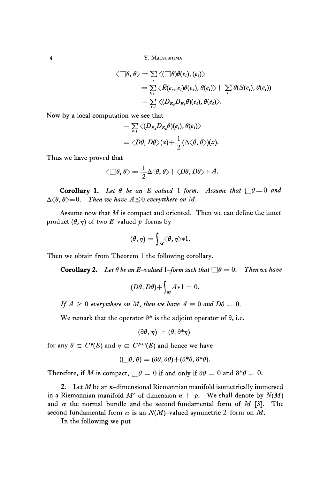$$
\begin{aligned} \langle \Box \theta, \theta \rangle &= \sum_i \langle (\Box \theta) \theta(e_i), (e_i) \rangle \\ &= \sum_{s,i} \langle \tilde{R}(e_s, e_i) \theta(e_s), \theta(e_i) \rangle + \sum_i \theta(S(e_i), \theta(e_i)) \\ &- \sum_{s,i} \langle (D_{E_s} D_{E_s} \theta)(e_i), \theta(e_i) \rangle. \end{aligned}
$$

Now by a local computation we see that

$$
\begin{aligned}&-\sum_{s,\,i}\big\langle(D_{E_3}D_{E_3}\theta)(e_i),\,\theta(e_i)\big\rangle\\&=\big\langle D\theta,\,D\theta\big\rangle\langle x\big\rangle{+}\frac{1}{2}(\Delta\big\langle\theta,\,\theta\big\rangle)(x).\end{aligned}
$$

Thus we have proved that

$$
\langle \Box \theta, \theta \rangle = \frac{1}{2} \Delta \langle \theta, \theta \rangle + \langle D \theta, D \theta \rangle + A.
$$

**Corollary 1.** Let  $\theta$  be an E-valued 1-form. Assume that  $\theta = 0$  and  $\Delta \langle \theta, \theta \rangle = 0$ . Then we have  $A \leq 0$  everywhere on M.

Assume now that *M* is compact and oriented. Then we can define the inner product  $(\theta, \eta)$  of two *E*-valued  $p$ -forms by

$$
(\theta,\eta)=\int_M\langle\theta,\eta\rangle{\ast}1.
$$

Then we obtain from Theorem 1 the following corollary.

**Corollary 2.** Let  $\theta$  be an E-valued 1-form such that  $\Box \theta = 0$ . Then we have

$$
(D\theta, D\theta) + \int_M A \ast 1 = 0.
$$

*If*  $A \geq 0$  everywhere on M, then we have  $A \equiv 0$  and  $D\theta = 0$ .

We remark that the operator  $\partial^*$  is the adjoint operator of  $\partial$ , i.e.

$$
(\partial \theta, \eta) = (\theta, \partial^* \eta)
$$

for any  $\theta \in C^p(E)$  and  $\eta \in C^{p+1}(E)$  and hence we have

$$
(\Box \theta, \theta) = (\partial \theta, \partial \theta) + (\partial^* \theta, \partial^* \theta).
$$

Therefore, if M is compact,  $\Box \theta = 0$  if and only if  $\partial \theta = 0$  and  $\partial^* \theta = 0$ .

2. Let *M* be an *n*-dimensional Riemannian manifold isometrically immersed in a Riemannian manifold M' of dimension  $n + p$ . We shall denote by  $N(M)$ and  $\alpha$  the normal bundle and the second fundamental form of M [3]. The second fundamental form  $\alpha$  is an  $N(M)$ -valued symmetric 2-form on M.

In the following we put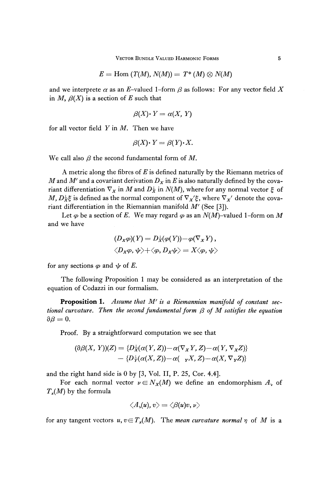$$
E = \mathrm{Hom} (T(M), N(M)) = T^*(M) \otimes N(M)
$$

and we interprete  $\alpha$  as an E-valued 1-form  $\beta$  as follows: For any vector field X in  $M$ ,  $\beta$ ( $X$ ) is a section of  $E$  such that

$$
\beta(X)\cdot Y=\alpha(X, Y)
$$

for all vector field *Y* in M. Then we have

$$
\beta(X)\cdot Y=\beta(Y)\cdot X.
$$

We call also *β* the second fundamental form of *M.*

A metric along the fibres of *E* is defined naturally by the Riemann metrics of  $M$  and  $M'$  and a covariant derivation  $D_x$  in  $E$  is also naturally defined by the covariant differentiation *V<sup>x</sup>* in *M* and *D<sup>x</sup>* in *N(M),* where for any normal vector *ξ* of *M, D*<sup><sup>1</sup> $_{X}$ <sup>r</sup>/<sub>z</sub> is defined as the normal component of  $\nabla_{X}$ <sup>*/*</sup><sub>*f*</sub>, where  $\nabla_{X}$ <sup>*/*</sup> denote the cova</sup> riant differentiation in the Riemannian manifold *M<sup>f</sup>* (See [3]).

Let  $\varphi$  be a section of E. We may regard  $\varphi$  as an  $N(M)$ -valued 1-form on M and we have

$$
(D_X \varphi)(Y) = D_X^{\perp}(\varphi(Y)) - \varphi(\nabla_X Y),
$$
  

$$
\langle D_X \varphi, \psi \rangle + \langle \varphi, D_X \psi \rangle = X \langle \varphi, \psi \rangle
$$

for any sections  $\varphi$  and  $\psi$  of *E*.

The following Proposition 1 may be considered as an interpretation of the equation of Codazzi in our formalism.

**Proposition 1.** *Assume that M/ is a Riemannian manifold of constant sectional curvature. Then the second fundamental form β of M satisfies the equation*  $\partial \beta = 0.$ 

Proof. By a straightforward computation we see that

$$
(\partial \beta(X, Y))(Z) = \{D_X^{\perp}(\alpha(Y, Z)) - \alpha(\nabla_X Y, Z) - \alpha(Y, \nabla_X Z)\}
$$
  
 
$$
- \{D_Y^{\perp}(\alpha(X, Z)) - \alpha(\gamma(X, Z) - \alpha(X, \nabla_Y Z)\}
$$

and the right hand side is 0 by [3, Vol. II, P. 25, Cor. 4.4].

For each normal vector  $\nu \in N_X(M)$  we define an endomorphism  $A_\nu$  of  $T_x(M)$  by the formula

$$
\left\langle A_\nu(u),v\right\rangle=\left\langle \beta(u)v,\nu\right\rangle
$$

for any tangent vectors  $u, v \in T_x(M)$ . The *mean curvature normal*  $\eta$  of M is a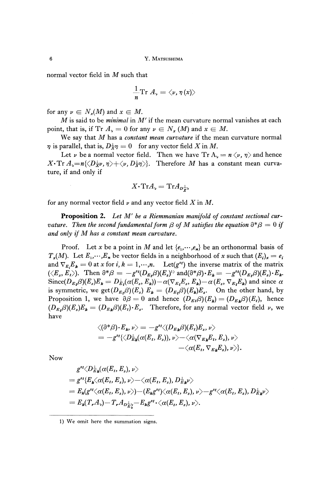normal vector field in *M* such that

$$
\frac{1}{n}\mathrm{Tr}\; A_{\nu}=\langle \nu,\eta\left(x\right)\rangle
$$

for any  $\nu \in N_x(M)$  and  $x \in M$ .

*M* is said to be *minimal* in M' if the mean curvature normal vanishes at each point, that is, if  $\mathrm{Tr} A_\nu = 0$  for any  $\nu \in N_\varkappa(M)$  and  $x \in M$ .

We say that M has a *constant mean curvature* if the mean curvature normal  $\eta$  is parallel, that is,  $D_{\overline{X}}\eta = 0$  for any vector field X in M.

Let  $\nu$  be a normal vector field. Then we have  $Tr A_{\nu} = n \langle \nu, \eta \rangle$  and hence  $X \cdot$ Tr  $A_{\nu} = n \langle \langle D^{\perp}_{X} \nu, \eta \rangle + \langle \nu, D^{\perp}_{X} \eta \rangle$ . Therefore *M* has a constant mean curvature, if and only if

$$
X{\cdot}\mathrm{Tr} A_{\flat} \!= \mathrm{Tr} A_{D\frac{1}{\star}\flat}
$$

for any normal vector field *v* and any vector field *X* in *M.*

**Proposition 2.** *Let M' be a Riemmanίan manifold of constant sectional curvature. Then the second fundamental form*  $\beta$  *of M satisfies the equation*  $\partial^* \beta = 0$  *if and only if M has a constant mean curvature.*

Proof. Let *x* be a point in *M* and let  $\{e_1, \dots, e_n\}$  be an orthonormal basis of *T*<sub>*x*</sub>(*M*). Let  $E_1$ ,…, $E_n$  be vector fields in a neighborhood of *x* such that  $(E_i)_x = e_i$ and  $\nabla_{E_i} E_k = 0$  at *x* for *i*,  $k = 1, ..., n$ . Let( $g^{st}$ ) the inverse matrix of the matrix  $(\langle E_s, E_t \rangle)$ . Then  $\partial^* \beta = -g^{st}(D_{E_t} \beta)(E_s)^{\nu}$  and  $(\partial^* \beta) \cdot E_k = -g^{st}(D_{E_t} \beta)(E_s) \cdot E_k$ .  $\text{Since}(D_{E_i}\beta)(E_s)E_k = D_{E_i}(\alpha(E_s, E_k)) - \alpha(\nabla_{E_i}E_s, E_k) - \alpha(E_s, \nabla_{E_i}E_k)$  and since  $\alpha$ is symmetric, we get $(D_{E_t}\beta)(E_s)$   $E_k = (D_{E_t}\beta)(E_k)E_s$ . On the other hand, by Proposition 1, we have  $\partial \beta = 0$  and hence  $(D_{Et} \beta)(E_k) = (D_{E_k} \beta)(E_t)$ , hence  $(D_{E_f}\beta)(E_s)E_k = (D_{E_k}\beta)(E_t)\cdot E_s$ . Therefore, for any normal vector field *v*, we have

$$
\langle (\partial^* \beta) \cdot E_k, \nu \rangle = -g^{st} \langle (D_{E_k} \beta)(E_t) E_s, \nu \rangle = -g^{st} \langle \langle D_{E_k}^{\perp} (\alpha(E_t, E_s)), \nu \rangle - \langle \alpha(\nabla_{E_k} E_t, E_s), \nu \rangle - \langle \alpha(E_t, \nabla_{E_k} E_s), \nu \rangle \rangle.
$$

Now

$$
g^{st}\langle D_{E_{k}}^{\perp}(\alpha(E_{t}, E_{s}), \nu\rangle
$$
  
=  $g^{st}\langle E_{k}\langle \alpha(E_{t}, E_{s}), \nu\rangle - \langle \alpha(E_{t}, E_{s}), D_{E_{k}}^{\perp} \nu \rangle$   
=  $E_{k}(g^{st}\langle \alpha(E_{t}, E_{s}), \nu \rangle) - \langle E_{k}g^{st}\rangle \langle \alpha(E_{t}, E_{s}), \nu \rangle - g^{st}\langle \alpha(E_{t}, E_{s}), D_{E_{k}}^{\perp} \nu \rangle$   
=  $E_{k}(T_{r}A_{\nu}) - T_{r}A_{D_{E_{k}}^{\perp} \nu} - E_{k}g^{st}\cdot \langle \alpha(E_{t}, E_{s}), \nu \rangle.$ 

<sup>1)</sup> We omit here the summation signs.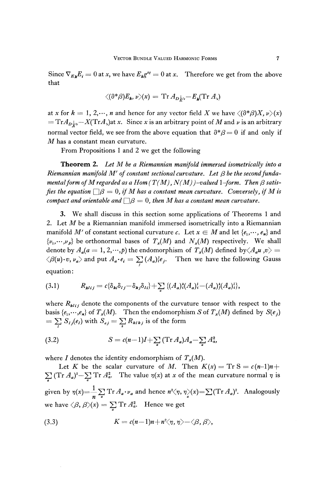Since  $\nabla_{E_{\bm{k}}}E_{\bm{i}}=0$  at *x*, we have  $E_{\bm{k}}g^{st}=0$  at *x*. Therefore we get from the above that

$$
\langle (\partial^* \beta) E_{\pmb{k}}, \nu \rangle (x) = \mathrm{Tr} \, A_{D_{E}^{\perp} \nu} - E_{\pmb{k}} (\mathrm{Tr} \, A_{\nu})
$$

at *x* for  $k = 1, 2, \cdots$ , *n* and hence for any vector field *X* we have  $\langle (\partial^* \beta) X, \nu \rangle (x)$  $=$  Tr $A_{D_{X}^{\perp_{\mathcal{V}}}}$  $- X($ Tr $A_{\mathcal{V}})$ at x. Since x is an arbitrary point of M and  $\nu$  is an arbitrary normal vector field, we see from the above equation that  $\partial^* \beta = 0$  if and only if *M* has a constant mean curvature.

From Propositions 1 and 2 we get the following

**Theorem 2.** *Let M be a Riemannian manifold immersed isometrίcally into a* Riemannian manifold M' of constant sectional curvature. Let β be the second funda*mental form of M regarded as a Hom* (T(M), N(M))-valued 1-form. Then β satis*fies the equation*  $\Box \beta = 0$ , *if* M has a constant mean curvature. Conversely, *if* M is *compact and orientable and*  $\Box \beta = 0$ *, then M has a constant mean curvature.* 

3. We shall discuss in this section some applications of Theorems 1 and 2. Let *M* be a Riemannian manifold immersed isometrically into a Riemannian manifold  $M'$  of constant sectional curvature *c*. Let  $x \in M$  and let  $\{e_1, \dots, e_n\}$  and  $\{v_1, \dots, v_p\}$  be orthonormal bases of  $T_x(M)$  and  $N_x(M)$  respectively. We shall denote by  $A_{\textit{a}}(a=1,2,\cdots,p)$  the endomorphism of  $T_{\textit{x}}(M)$  defined by $\langle A_{\textit{a}} u \rangle$  , $v\rangle =$  $\langle \beta(u)\cdot v, \nu_a \rangle$  and put  $A_a \cdot e_i = \sum_{i} (A_a)^i_i e_j$ . Then we have the following Gauss equation :

(3.1) 
$$
R_{klij} = c\{\delta_{ki}\delta_{lj} - \delta_{kj}\delta_{li}\} + \sum_{a} \{(A_a)^{\dagger}(A_a)^{\dagger}_{i} - (A_a)^{\dagger}(A_a)^{\dagger}_{i}\},
$$

where  $R_{kij}$  denote the components of the curvature tensor with respect to the basis  $\{e_1, \dots, e_n\}$  of  $T_x(M)$ . Then the endomorphism *S* of  $T_x(M)$  defined by  $S(e_j)$  $=\sum S_{lj}(e_l)$  with  $S_{ej} = \sum R_{klkj}$  is of the form

(3.2) 
$$
S = c(n-1)I + \sum_{a} (\text{Tr } A_a) A_a - \sum_{a} A_a^2,
$$

where  $I$  denotes the identity endomorphism of  $T_x(M)$ .

Let K be the scalar curvature of M. Then  $K(x) = Tr S = c(n-1)n+$  $\sum_{a}$  (Tr  $A_a$ )<sup>2</sup> -  $\sum_{a}$  Tr  $A_a^2$ . The value  $\eta(x)$  at x of the mean curvature normal  $\eta$  is given by  $\eta(x) = \frac{1}{n} \sum_{a} \text{Tr} \ A_a \cdot \nu_a$  and hence  $n^2 \langle \eta, \eta \rangle(x) = \sum_{a} (\text{Tr} \ A_a)^2$ . Analogously we have  $\langle \beta, \beta \rangle(x) = \sum \mathrm{Tr} \, A_a^2$ . Hence we get

(3.3) 
$$
K=c(n-1)n+n^2\langle \eta,\eta\rangle-\langle \beta,\beta\rangle,
$$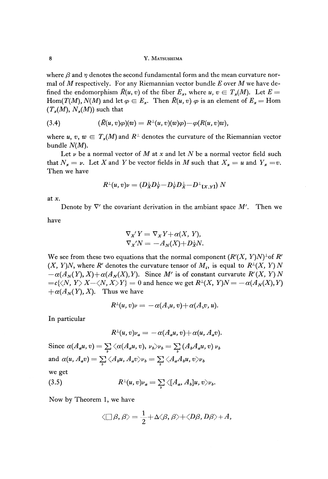where *β* and *η* denotes the second fundamental form and the mean curvature nor mal of *M* respectively. For any Riemannian vector bundle *E* over *M* we have de fined the endomorphism  $\tilde{R}(u, v)$  of the fiber  $E_x$ , where  $u, v \in T_x(M)$ . Let  $E =$  $\mathop{\mathrm{Hom}}\nolimits(T(M),N(M)$  and let  $\varphi\in E_{\mathbf{x}}$ . Then  $\tilde{R}(u,v)$   $\varphi$  is an element of  $E_{\mathbf{x}}= \mathrm{Hom}(E_{\mathbf{x}})$  $(T_{\mathrm{\textit{x}}}(M),\,N_{\mathrm{\textit{x}}}(M))$  such that

$$
(3.4) \qquad (\tilde{R}(u,v)\varphi)(w) = R^{\perp}(u,v)(w)\varphi) - \varphi(R(u,v)w),
$$

where  $u, v, w \in T_{x}(M)$  and  $R^{\perp}$  denotes the curvature of the Riemannian vector bundle *N(M).*

Let  $\nu$  be a normal vector of  $M$  at  $x$  and let  $N$  be a normal vector field such that  $N_x = \nu$ . Let X and Y be vector fields in M such that  $X_x = \nu$  and  $Y_x = \nu$ . Then we have

$$
R^\perp\hspace{-0.1cm} (u,v)\nu = (D^\perp_X D^\perp_Y \!\!-\! D^\perp_Y \! D^\perp_X \!\!-\! D^\perp_{\phantom{X}\hspace{-0.1cm} \textrm{I}(\!X,Y\!)})\,N
$$

at *x.*

Denote by  $\nabla'$  the covariant derivation in the ambiant space  $M'$ . Then we

have

$$
\nabla_{X}^{'} Y = \nabla_{X} Y + \alpha(X, Y),
$$
  
\n
$$
\nabla_{X}^{'} N = -A_{N}(X) + D_{X}^{\perp} N.
$$

We see from these two equations that the normal component  $(R'(X, Y)N)^{\perp}$  of  $R'$  $(X, Y)N$ , where *R'* denotes the curvature tensor of  $M_i$ , is equal to  $R^{\perp}(X, Y)N$  $-\alpha(A_N(Y), X) + \alpha(A_N(X), Y)$ . Since M' is of constant curvarute  $R'(X, Y)$  N  $=c\{\langle N, Y \rangle | X - \langle N, X \rangle Y\} = 0$  and hence we get  $R^{\perp}(X, Y)N = -\alpha(A_N(X), Y)$  $+\alpha(A_N(Y), X)$ . Thus we have

$$
R^{\perp}(u,v)\nu=-\alpha(A_{\nu}u,v)+\alpha(A_{\nu}v,u).
$$

In particular

$$
R^{\perp}(u,v)\nu_a=-\alpha(A_a u,v)+\alpha(u,A_a v).
$$

Since  $\alpha(A_a u, v) = \sum_i \langle \alpha(A_a u, v), v_b \rangle v_b = \sum_i (A_b A_a u, v) v_b$ and  $\alpha(u, A_a v) = \sum_{i} \langle A_i u, A_a v \rangle v_b = \sum_{i} \langle A_a A_i$ **6 6** we get

(3.5) 
$$
R^{\perp}(u,v)\nu_a = \sum_b \langle [A_a, A_b]u, v\rangle \nu_b
$$

Now by Theorem 1, we have

$$
\langle \Box \, \beta , \beta \rangle = \frac{1}{2} + \Delta \langle \beta , \beta \rangle + \langle D \beta , D \beta \rangle + A,
$$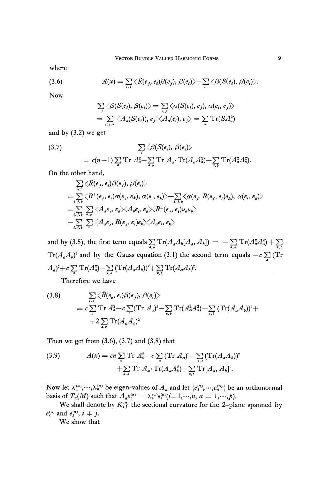where

(3.6) 
$$
A(x) = \sum_{i,j} \langle \tilde{R}(e_j,e_i) \beta(e_j), \beta(e_i) \rangle + \sum_i \langle \beta(S(e_i),\beta(e_i) \rangle.
$$

Now

$$
\sum_{i} \langle \beta(S(e_i), \beta(e_i) \rangle = \sum_{i,j} \langle \alpha(S(e_i), e_j), \alpha(e_i, e_j) \rangle \n= \sum_{i,j,s} \langle A_a(S(e_i)), e_j \rangle \langle A_a(e_i), e_j \rangle = \sum_a \text{Tr}(SA_a^2)
$$

and by (3.2) we get

(3.7) 
$$
\sum_{i} \langle \beta(S(e_i), \beta(e_i)) \rangle
$$

$$
= c(n-1) \sum_{a} \text{Tr } A_a^2 + \sum_{a,b} \text{Tr } A_a \cdot \text{Tr}(A_a A_b^2) - \sum_{a,b} \text{Tr}(A_a^2 A_b^2).
$$

On the other hand,

$$
\sum_{i,j} \langle \tilde{R}(e_j, e_i) \beta(e_j), \beta(e_i) \rangle \n= \sum_{i,j,k} \langle R^{\perp}(e_j, e_i) \alpha(e_j, e_k), \alpha(e_i, e_k) \rangle - \sum_{i,j,k} \langle \alpha(e_j, R(e_j, e_i) e_k), \alpha(e_i, e_k) \rangle \n= \sum_{i,j,k} \sum_{a,b} \langle A_a e_j, e_k \rangle \langle A_b e_i, e_k \rangle \langle R^{\perp}(e_j, e_i) v_a v_b \rangle \n- \sum_{i,j,k} \sum_a \langle A_a e_j, R(e_j, e_i) e_k \rangle \langle A_a e_i, e_k \rangle
$$

and by (3.5), the first term equals  $\sum_{a,b} \text{Tr}(A_a A_b[A_a, A_b]) = -\sum_{a,b} \text{Tr}(A_a^2 A_a^2) + \sum_{a,b}$  $Tr(A_aA_b)^2$  and by the Gauss equation (3.1) the second term equals —  $(A_a)^2 + c \sum_a Tr(A_a^2) - \sum_{a,b} (Tr(A_a A_b))^2 + \sum_{a,b} Tr(A_a A_b)^2.$ 

Therefore we have

(3.8)  
\n
$$
\sum_{i,j} \langle \tilde{R}(e_u, e_i) \beta(e_j), \beta(e_i) \rangle
$$
\n
$$
= c \sum_a \text{Tr } A_a^2 - c \sum_v (\text{Tr } A_a)^2 - \sum_{a,b} \text{Tr} (A_a^2 A_a^2) - \sum_{a,b} (\text{Tr} (A_a A_b))^2 + 2 \sum_{a,b} \text{Tr} (A_a A_b)^2
$$

Then we get from  $(3.6)$ ,  $(3.7)$  and  $(3.8)$  that

(3.9) 
$$
A(x) = cn \sum_{a} \text{Tr } A_{b}^{2} - c \sum_{a} (\text{Tr } A_{a})^{2} - \sum_{a,b} (\text{Tr}(A_{a}A_{b}))^{2} + \sum_{a,b} \text{Tr } A_{a} \cdot \text{Tr}(A_{a}A_{b}^{2}) + \sum_{a,b} \text{Tr}[A_{a}, A_{b}]^{2}.
$$

Now let  $\lambda_1^{(a)}, \cdots, \lambda_n^{(a)}$  be eigen-values of  $A_a$  and let  $\{e_1^{(a)}, \cdots, e_n^{(n)}\}$  be an orthonormal basis of  $T_x(M)$  such that  $A_a e^{(a)}_i = \lambda_i^{(a)} e^{(a)}_i (i=1, \dots, n, a = 1, \dots, p)$ .

We shall denote by  $K_{ij}^{(a)}$  the sectional curvature for the 2-plane spanned by  $e^{(a)}_i$  and  $e^{(a)}_j$ ,  $i \neq j$ .

We show that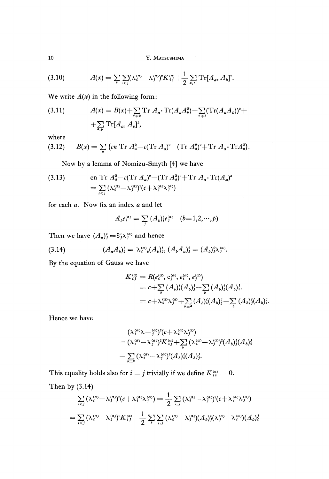(3.10) 
$$
A(x) = \sum_{v} \sum_{i < j} (\lambda_i^{(a)} - \lambda_j^{(a)})^2 K_{ij}^{(a)} + \frac{1}{2} \sum_{a,b} \text{Tr}[A_a, A_b]^2.
$$

We write  $A(x)$  in the following form:

(3.11) 
$$
A(x) = B(x) + \sum_{a+b} \text{Tr} A_a \cdot \text{Tr}(A_a A_b^2) - \sum_{a+b} (\text{Tr}(A_a A_b))^2 + \sum_{a,b} \text{Tr}[A_a, A_b]^2,
$$

where

(3.12) 
$$
B(x) = \sum_{a} \{cn \operatorname{Tr} A_{a}^{2} - c(\operatorname{Tr} A_{a})^{2} - (\operatorname{Tr} A_{a}^{2})^{2} + \operatorname{Tr} A_{a} \cdot \operatorname{Tr} A_{a}^{3}\}.
$$

Now by a lemma of Nomizu-Smyth [4] we have

(3.13)   
 
$$
\text{cn Tr } A_a^2 - c (\text{Tr } A_a)^2 - (\text{Tr } A_a^2)^2 + \text{Tr } A_a \cdot \text{Tr}(A_a)^3
$$

$$
= \sum_{i < j} (\lambda_i^{(a)} - \lambda_j^{(a)})^2 (c + \lambda_j^{(a)} \lambda_j^{(a)})
$$

for each *a.* Now fix an index *a* and let

$$
A_{b}e_{i}^{(a)} = \sum_{j} (A_{b})_{i}^{j} e_{j}^{(a)} \quad (b=1,2,\cdots,p)
$$

Then we have  $(A_a)_j^i = \delta_j^i \lambda_j^{(a)}$  and hence

(3.14) 
$$
(A_a A_b)^i_j = \lambda_i^{(a)}{}_b (A_b)^i_j, (A_b A_a)^i_j = (A_b)^i_j \lambda_j^{(a)}.
$$

By the equation of Gauss we have

$$
K_{ij}^{(a)} = R(e_i^{(a)}, e_j^{(a)}, e_i^{(a)}, e_j^{(a)})
$$
  
=  $c + \sum_b (A_b)_i^i (A_b)_j^j - \sum_b (A_b)_j^i (A_b)_i^j$ .  
=  $c + \lambda_i^{(a)} \lambda_j^{(a)} + \sum_{b \neq a} (A_b)_i^i (A_b)_j^j - \sum_b (A_b)_j^i (A_b)_i^j$ .

Hence we have

$$
(\lambda_i^{(a)}\lambda - \frac{a}{j})^2 (c + \lambda_i^{(a)}\lambda_j^{(a)})
$$
  
= 
$$
(\lambda_i^{(a)} - \lambda_j^{(a)})^2 K_{ij}^{(a)} + \sum_b (\lambda_i^{(a)} - \lambda_j^{(a)})^2 (A_b)_j^i (A_b)_i^j
$$
  
- 
$$
\sum_{b \neq a} (\lambda_i^{(a)} - \lambda_j^{(a)})^2 (A_b)_i^i (A_b)_j^j.
$$

This equality holds also for  $i = j$  trivially if we define  $K_{ii}^{(a)} = 0$ . Then by (3.14)

$$
\sum_{i < j} (\lambda_i^{(a)} - \lambda_j^{(a)})^2 (c + \lambda_i^{(a)} \lambda_j^{(a)}) = \frac{1}{2} \sum_{i,j} (\lambda_i^{(a)} - \lambda_j^{(a)})^2 (c + \lambda_i^{(a)} \lambda_j^{(a)})
$$
\n
$$
= \sum_{i < j} (\lambda_i^{(a)} - \lambda_j^{(a)})^2 K_{ij}^{(a)} - \frac{1}{2} \sum_b \sum_{i,j} (\lambda_i^{(a)} - \lambda_j^{(a)}) (A_b)^i (\lambda_j^{(a)} - \lambda_i^{(a)}) (A_b)^i
$$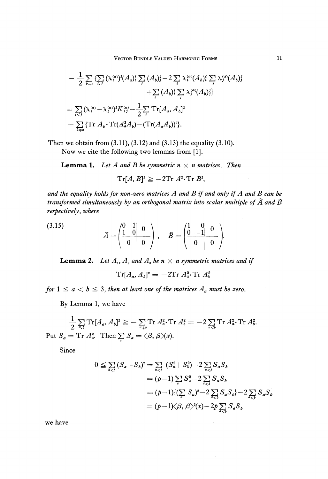$$
- \frac{1}{2} \sum_{b \neq a} \{ \sum_{i,j} (\lambda_i^{(a)})^2 (A_a)_i^t \sum_j (A_b)_j^t - 2 \sum_i \lambda_i^{(a)} (A_b)_i^t \sum_j \lambda_j^{(a)} (A_b)_j^t
$$
  
 
$$
+ \sum_i (A_b)_i^t \sum_j \lambda_j^{(a)} (A_b)_j^t \}
$$
  
= 
$$
\sum_{i \leq j} (\lambda_i^{(a)} - \lambda_j^{(a)})^2 K_{ij}^{(a)} - \frac{1}{2} \sum_b \text{Tr}[A_a, A_b]^2
$$
  
- 
$$
\sum_{b \neq a} \{ \text{Tr } A_b \cdot \text{Tr}(A_a^2 A_b) - (\text{Tr}(A_a A_b))^2 \}.
$$

Then we obtain from (3.11), (3.12) and (3.13) the equality (3.10).

Now we cite the following two lemmas from [1].

**Lemma 1.** Let A and B be symmetric  $n \times n$  matrices. Then

 $\mathrm{Tr}[A,B]^2 \geq -2\mathrm{Tr}\ A^2\!\cdot\!\mathrm{Tr}\ B^2,$ 

*and the equality holds for non-zero matrices A and B if and only if A and B can be transformed simultaneously by an orthogonal matrix into scalar multiple of A and B respectively, where*

(3.15) 
$$
\tilde{A} = \begin{pmatrix} 0 & 1 & 0 \\ 1 & 0 & 0 \\ 0 & 0 & 0 \end{pmatrix}, \quad \tilde{B} = \begin{pmatrix} 1 & 0 & 0 \\ 0 & -1 & 0 \\ 0 & 0 & 0 \end{pmatrix}.
$$

**Lemma 2.** Let  $A_1$ ,  $A_2$  and  $A_3$  be  $n \times n$  symmetric matrices and if

 $\mathop{\rm Tr}\nolimits[A_a, A_b]^{\scriptscriptstyle 2} = -2\mathop{\rm Tr}\nolimits A_{\scriptscriptstyle a}^{\scriptscriptstyle 2} \mathop{\rm Tr}\nolimits A_{\scriptscriptstyle b}^{\scriptscriptstyle 2}$ 

*for*  $1 \le a < b \le 3$ , then at least one of the matrices  $A_a$  must be zero.

*a*

By Lemma 1, we have

$$
\frac{1}{2} \sum_{a,b} \operatorname{Tr}[A_a, A_b]^2 \geq -\sum_{a \neq b} \operatorname{Tr} A_a^2 \cdot \operatorname{Tr} A_b^2 = -2 \sum_{a < b} \operatorname{Tr} A_a^2 \cdot \operatorname{Tr} A_b^2.
$$
  
Put  $S_a = \operatorname{Tr} A_a^2$ . Then  $\sum S_a = \langle \beta, \beta \rangle (x)$ .

Since

$$
0 \leq \sum_{a < b} (S_a - S_b)^2 = \sum_{a < b} (S_a^2 + S_b^2) - 2 \sum_{a < b} S_a S_b
$$
  
=  $(p - 1) \sum_a S_a^2 - 2 \sum_{a < b} S_a S_b$   
=  $(p - 1)\{(\sum_a S_a)^2 - 2 \sum_{a < b} S_a S_b\} - 2 \sum_{a < b} S_a S_b$   
=  $(p - 1)\langle \beta, \beta \rangle^2(x) - 2p \sum_{a < b} S_a S_b$ 

we have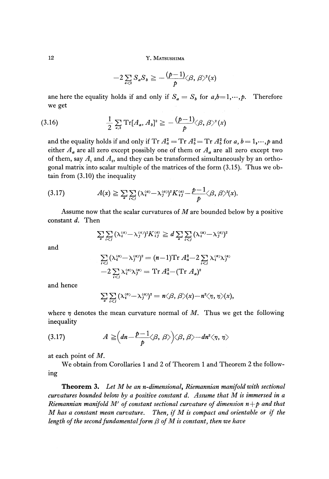$$
-2\sum_{a
$$

ane here the equality holds if and only if  $S_a = S_b$  for  $a,b=1$ Therefore we get

$$
(3.16) \qquad \qquad \frac{1}{2}\sum_{a,b}\mathrm{Tr}[A_a,A_b]^2\geq -\frac{(p-1)}{p}\langle\beta,\beta\rangle^2(x)
$$

and the equality holds if and only if  $Tr A_a^2 = Tr A_b^2 = Tr A_b^2$  for  $a, b = 1, \dots, p$  and either  $A_a$  are all zero except possibly one of them or  $A_a$  are all zero except two of them, say  $A_{\scriptscriptstyle 1}$  and  $A_{\scriptscriptstyle 2}$ , and they can be transformed simultaneously by an ortho gonal matrix into scalar multiple of the matrices of the form (3.15). Thus we ob tain from (3.10) the inequality

$$
(3.17) \tA(x) \geq \sum_{a} \sum_{i < j} (\lambda_i^{(a)} - \lambda_j^{(a)})^2 K_{ij}^{(a)} - \frac{p-1}{p} \langle \beta, \beta \rangle^2(x).
$$

Assume now that the scalar curvatures of *M* are bounded below by a positive constant *d.* Then

$$
\sum_{a} \sum_{i < j} (\lambda_i^{(a)} - \lambda_j^{(a)})^2 K_{ij}^{(a)} \ge d \sum_{a} \sum_{i < j} (\lambda_i^{(a)} - \lambda_j^{(a)})^2
$$

and

$$
\sum_{i < j} (\lambda_i^{(a)} - \lambda_j^{(a)})^2 = (n-1)\mathrm{Tr}\ A_a^2 - 2 \sum_{i < j} \lambda_i^{(a)} \lambda_j^{(a)}
$$
\n
$$
-2 \sum_{i < j} \lambda_i^{(a)} \lambda_j^{(a)} = \mathrm{Tr}\ A_a^2 - (\mathrm{Tr}\ A_a)^2
$$

and hence

$$
\sum_{a}\sum_{i
$$

where *η* denotes the mean curvature normal of *M.* Thus we get the following inequality

(3.17) 
$$
A \geq \left(dn - \frac{p-1}{p}\langle \beta, \beta \rangle\right) \langle \beta, \beta \rangle - dn^2 \langle \eta, \eta \rangle
$$

at each point of *M.*

We obtain from Corollaries 1 and 2 of Theorem 1 and Theorem 2 the follow ing

**Theorem 3.** Let M be an *n*-dimensional, Riemannian manifold with sectional *curvatures bounded below by a positive constant d. Assume that M is immersed in a Riemannίan manifold M<sup>f</sup> of constant sectional curvature of dimension n-\-p and that M has a constant mean curvature. Then, if M is compact and orientable or if the length of the second fundamental form β of M is constant, then we have*